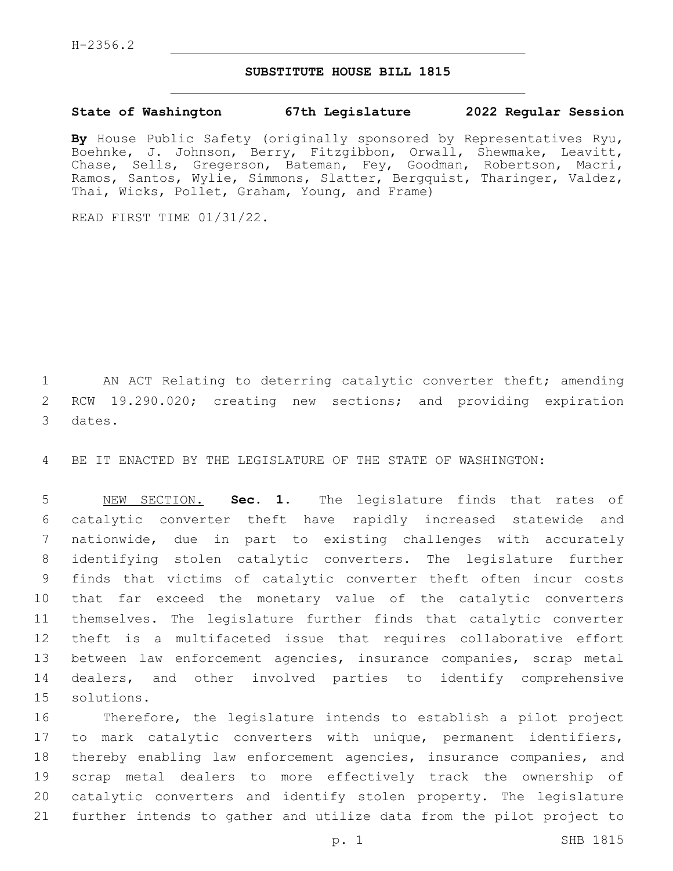## **SUBSTITUTE HOUSE BILL 1815**

## **State of Washington 67th Legislature 2022 Regular Session**

**By** House Public Safety (originally sponsored by Representatives Ryu, Boehnke, J. Johnson, Berry, Fitzgibbon, Orwall, Shewmake, Leavitt, Chase, Sells, Gregerson, Bateman, Fey, Goodman, Robertson, Macri, Ramos, Santos, Wylie, Simmons, Slatter, Bergquist, Tharinger, Valdez, Thai, Wicks, Pollet, Graham, Young, and Frame)

READ FIRST TIME 01/31/22.

1 AN ACT Relating to deterring catalytic converter theft; amending RCW 19.290.020; creating new sections; and providing expiration 3 dates.

BE IT ENACTED BY THE LEGISLATURE OF THE STATE OF WASHINGTON:

 NEW SECTION. **Sec. 1.** The legislature finds that rates of catalytic converter theft have rapidly increased statewide and nationwide, due in part to existing challenges with accurately identifying stolen catalytic converters. The legislature further finds that victims of catalytic converter theft often incur costs that far exceed the monetary value of the catalytic converters themselves. The legislature further finds that catalytic converter theft is a multifaceted issue that requires collaborative effort between law enforcement agencies, insurance companies, scrap metal dealers, and other involved parties to identify comprehensive solutions.

 Therefore, the legislature intends to establish a pilot project to mark catalytic converters with unique, permanent identifiers, thereby enabling law enforcement agencies, insurance companies, and scrap metal dealers to more effectively track the ownership of catalytic converters and identify stolen property. The legislature further intends to gather and utilize data from the pilot project to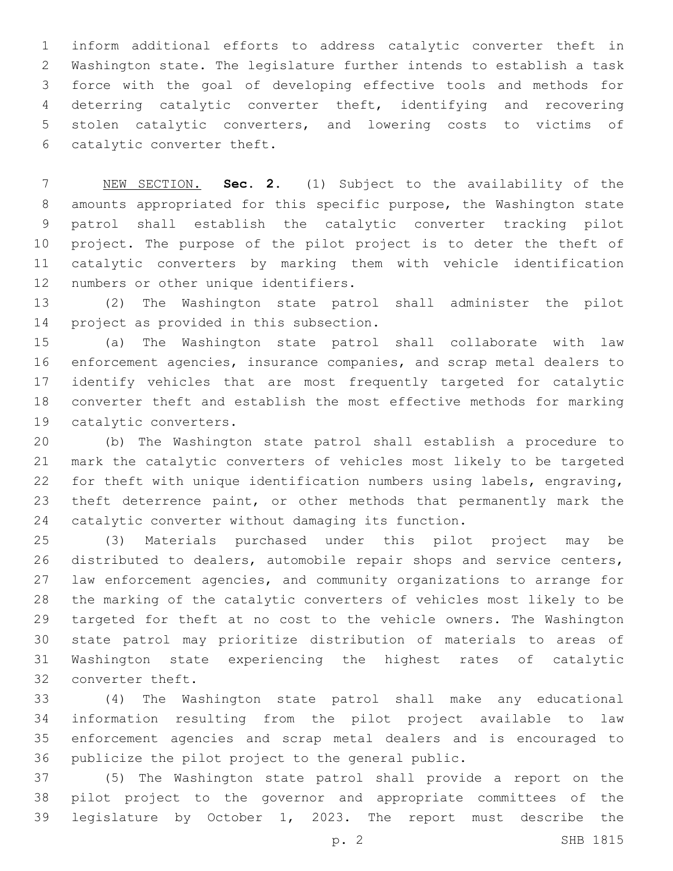inform additional efforts to address catalytic converter theft in Washington state. The legislature further intends to establish a task force with the goal of developing effective tools and methods for deterring catalytic converter theft, identifying and recovering stolen catalytic converters, and lowering costs to victims of 6 catalytic converter theft.

 NEW SECTION. **Sec. 2.** (1) Subject to the availability of the amounts appropriated for this specific purpose, the Washington state patrol shall establish the catalytic converter tracking pilot project. The purpose of the pilot project is to deter the theft of catalytic converters by marking them with vehicle identification numbers or other unique identifiers.

 (2) The Washington state patrol shall administer the pilot 14 project as provided in this subsection.

 (a) The Washington state patrol shall collaborate with law enforcement agencies, insurance companies, and scrap metal dealers to identify vehicles that are most frequently targeted for catalytic converter theft and establish the most effective methods for marking 19 catalytic converters.

 (b) The Washington state patrol shall establish a procedure to mark the catalytic converters of vehicles most likely to be targeted for theft with unique identification numbers using labels, engraving, theft deterrence paint, or other methods that permanently mark the catalytic converter without damaging its function.

 (3) Materials purchased under this pilot project may be distributed to dealers, automobile repair shops and service centers, law enforcement agencies, and community organizations to arrange for the marking of the catalytic converters of vehicles most likely to be targeted for theft at no cost to the vehicle owners. The Washington state patrol may prioritize distribution of materials to areas of Washington state experiencing the highest rates of catalytic 32 converter theft.

 (4) The Washington state patrol shall make any educational information resulting from the pilot project available to law enforcement agencies and scrap metal dealers and is encouraged to publicize the pilot project to the general public.

 (5) The Washington state patrol shall provide a report on the pilot project to the governor and appropriate committees of the legislature by October 1, 2023. The report must describe the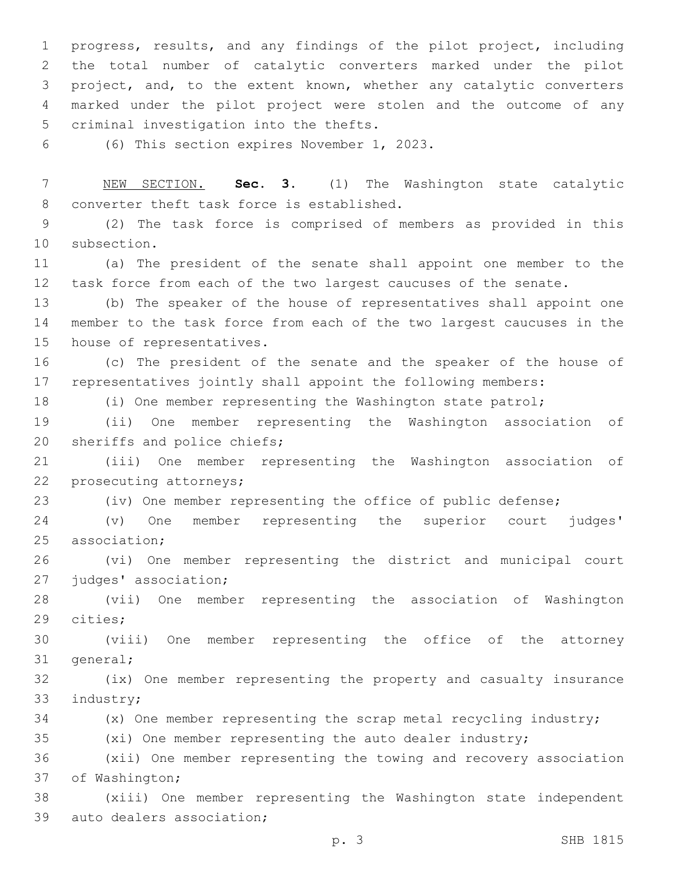progress, results, and any findings of the pilot project, including the total number of catalytic converters marked under the pilot project, and, to the extent known, whether any catalytic converters marked under the pilot project were stolen and the outcome of any 5 criminal investigation into the thefts.

(6) This section expires November 1, 2023.6

 NEW SECTION. **Sec. 3.** (1) The Washington state catalytic converter theft task force is established.

 (2) The task force is comprised of members as provided in this 10 subsection.

 (a) The president of the senate shall appoint one member to the task force from each of the two largest caucuses of the senate.

 (b) The speaker of the house of representatives shall appoint one member to the task force from each of the two largest caucuses in the 15 house of representatives.

 (c) The president of the senate and the speaker of the house of representatives jointly shall appoint the following members:

(i) One member representing the Washington state patrol;

 (ii) One member representing the Washington association of 20 sheriffs and police chiefs;

 (iii) One member representing the Washington association of 22 prosecuting attorneys;

(iv) One member representing the office of public defense;

 (v) One member representing the superior court judges' 25 association:

 (vi) One member representing the district and municipal court 27 judges' association;

 (vii) One member representing the association of Washington 29 cities;

 (viii) One member representing the office of the attorney 31 general;

 (ix) One member representing the property and casualty insurance 33 industry;

(x) One member representing the scrap metal recycling industry;

(xi) One member representing the auto dealer industry;

 (xii) One member representing the towing and recovery association 37 of Washington;

 (xiii) One member representing the Washington state independent 39 auto dealers association;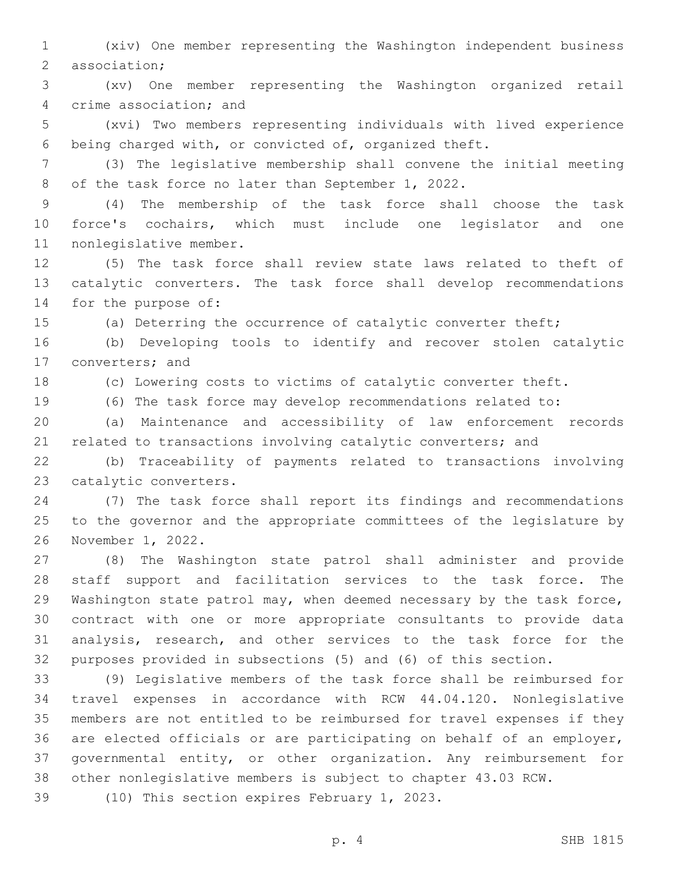(xiv) One member representing the Washington independent business 2 association;

 (xv) One member representing the Washington organized retail 4 crime association; and

 (xvi) Two members representing individuals with lived experience being charged with, or convicted of, organized theft.

 (3) The legislative membership shall convene the initial meeting 8 of the task force no later than September 1, 2022.

 (4) The membership of the task force shall choose the task force's cochairs, which must include one legislator and one 11 nonlegislative member.

 (5) The task force shall review state laws related to theft of catalytic converters. The task force shall develop recommendations 14 for the purpose of:

(a) Deterring the occurrence of catalytic converter theft;

 (b) Developing tools to identify and recover stolen catalytic 17 converters; and

(c) Lowering costs to victims of catalytic converter theft.

(6) The task force may develop recommendations related to:

 (a) Maintenance and accessibility of law enforcement records 21 related to transactions involving catalytic converters; and

 (b) Traceability of payments related to transactions involving 23 catalytic converters.

 (7) The task force shall report its findings and recommendations to the governor and the appropriate committees of the legislature by 26 November 1, 2022.

 (8) The Washington state patrol shall administer and provide staff support and facilitation services to the task force. The Washington state patrol may, when deemed necessary by the task force, contract with one or more appropriate consultants to provide data analysis, research, and other services to the task force for the purposes provided in subsections (5) and (6) of this section.

 (9) Legislative members of the task force shall be reimbursed for travel expenses in accordance with RCW 44.04.120. Nonlegislative members are not entitled to be reimbursed for travel expenses if they are elected officials or are participating on behalf of an employer, governmental entity, or other organization. Any reimbursement for other nonlegislative members is subject to chapter 43.03 RCW.

39 (10) This section expires February 1, 2023.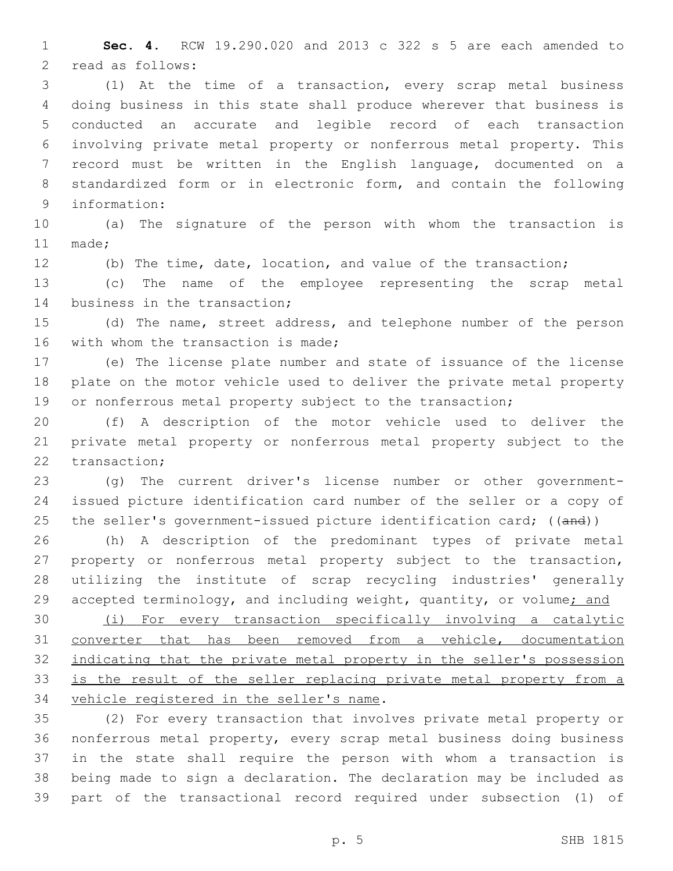**Sec. 4.** RCW 19.290.020 and 2013 c 322 s 5 are each amended to 2 read as follows:

 (1) At the time of a transaction, every scrap metal business doing business in this state shall produce wherever that business is conducted an accurate and legible record of each transaction involving private metal property or nonferrous metal property. This record must be written in the English language, documented on a standardized form or in electronic form, and contain the following 9 information:

 (a) The signature of the person with whom the transaction is 11 made:

(b) The time, date, location, and value of the transaction;

 (c) The name of the employee representing the scrap metal 14 business in the transaction;

 (d) The name, street address, and telephone number of the person 16 with whom the transaction is made;

 (e) The license plate number and state of issuance of the license plate on the motor vehicle used to deliver the private metal property 19 or nonferrous metal property subject to the transaction;

 (f) A description of the motor vehicle used to deliver the private metal property or nonferrous metal property subject to the 22 transaction:

 (g) The current driver's license number or other government- issued picture identification card number of the seller or a copy of 25 the seller's government-issued picture identification card; ((and))

 (h) A description of the predominant types of private metal property or nonferrous metal property subject to the transaction, utilizing the institute of scrap recycling industries' generally 29 accepted terminology, and including weight, quantity, or volume; and

 (i) For every transaction specifically involving a catalytic converter that has been removed from a vehicle, documentation indicating that the private metal property in the seller's possession is the result of the seller replacing private metal property from a 34 vehicle registered in the seller's name.

 (2) For every transaction that involves private metal property or nonferrous metal property, every scrap metal business doing business in the state shall require the person with whom a transaction is being made to sign a declaration. The declaration may be included as part of the transactional record required under subsection (1) of